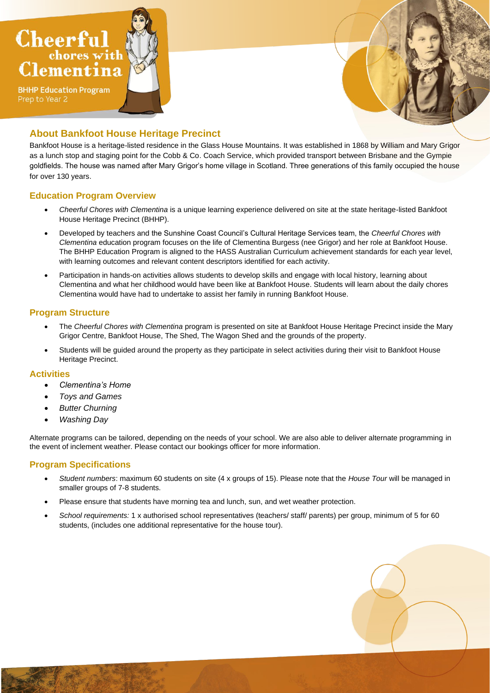



## **About Bankfoot House Heritage Precinct**

Bankfoot House is a heritage-listed residence in the Glass House Mountains. It was established in 1868 by William and Mary Grigor as a lunch stop and staging point for the Cobb & Co. Coach Service, which provided transport between Brisbane and the Gympie goldfields. The house was named after Mary Grigor's home village in Scotland. Three generations of this family occupied the house for over 130 years.

#### **Education Program Overview**

- *Cheerful Chores with Clementina* is a unique learning experience delivered on site at the state heritage-listed Bankfoot House Heritage Precinct (BHHP).
- Developed by teachers and the Sunshine Coast Council's Cultural Heritage Services team, the *Cheerful Chores with Clementina* education program focuses on the life of Clementina Burgess (nee Grigor) and her role at Bankfoot House. The BHHP Education Program is aligned to the HASS Australian Curriculum achievement standards for each year level, with learning outcomes and relevant content descriptors identified for each activity.
- Participation in hands-on activities allows students to develop skills and engage with local history, learning about Clementina and what her childhood would have been like at Bankfoot House. Students will learn about the daily chores Clementina would have had to undertake to assist her family in running Bankfoot House.

### **Program Structure**

- The *Cheerful Chores with Clementina* program is presented on site at Bankfoot House Heritage Precinct inside the Mary Grigor Centre, Bankfoot House, The Shed, The Wagon Shed and the grounds of the property.
- Students will be guided around the property as they participate in select activities during their visit to Bankfoot House Heritage Precinct.

#### **Activities**

- *Clementina's Home*
- *Toys and Games*
- *Butter Churning*
- *Washing Day*

Alternate programs can be tailored, depending on the needs of your school. We are also able to deliver alternate programming in the event of inclement weather. Please contact our bookings officer for more information.

#### **Program Specifications**

- *Student numbers*: maximum 60 students on site (4 x groups of 15). Please note that the *House Tour* will be managed in smaller groups of 7-8 students.
- Please ensure that students have morning tea and lunch, sun, and wet weather protection.
- *School requirements:* 1 x authorised school representatives (teachers/ staff/ parents) per group, minimum of 5 for 60 students, (includes one additional representative for the house tour).